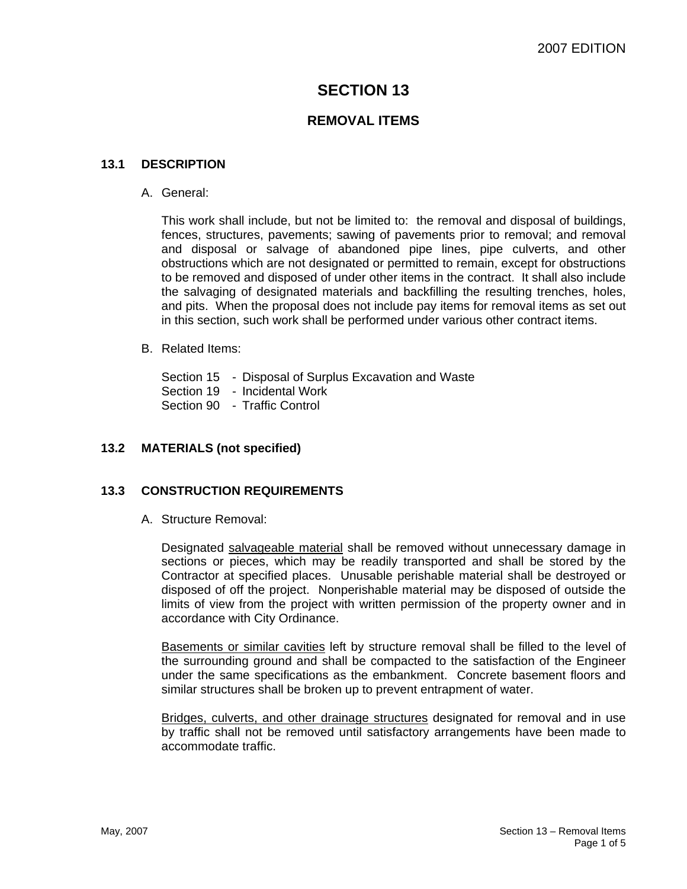# **SECTION 13**

## **REMOVAL ITEMS**

## **13.1 DESCRIPTION**

A. General:

This work shall include, but not be limited to: the removal and disposal of buildings, fences, structures, pavements; sawing of pavements prior to removal; and removal and disposal or salvage of abandoned pipe lines, pipe culverts, and other obstructions which are not designated or permitted to remain, except for obstructions to be removed and disposed of under other items in the contract. It shall also include the salvaging of designated materials and backfilling the resulting trenches, holes, and pits. When the proposal does not include pay items for removal items as set out in this section, such work shall be performed under various other contract items.

#### B. Related Items:

Section 15 - Disposal of Surplus Excavation and Waste Section 19 - Incidental Work Section 90 - Traffic Control

## **13.2 MATERIALS (not specified)**

## **13.3 CONSTRUCTION REQUIREMENTS**

A. Structure Removal:

Designated salvageable material shall be removed without unnecessary damage in sections or pieces, which may be readily transported and shall be stored by the Contractor at specified places. Unusable perishable material shall be destroyed or disposed of off the project. Nonperishable material may be disposed of outside the limits of view from the project with written permission of the property owner and in accordance with City Ordinance.

Basements or similar cavities left by structure removal shall be filled to the level of the surrounding ground and shall be compacted to the satisfaction of the Engineer under the same specifications as the embankment. Concrete basement floors and similar structures shall be broken up to prevent entrapment of water.

Bridges, culverts, and other drainage structures designated for removal and in use by traffic shall not be removed until satisfactory arrangements have been made to accommodate traffic.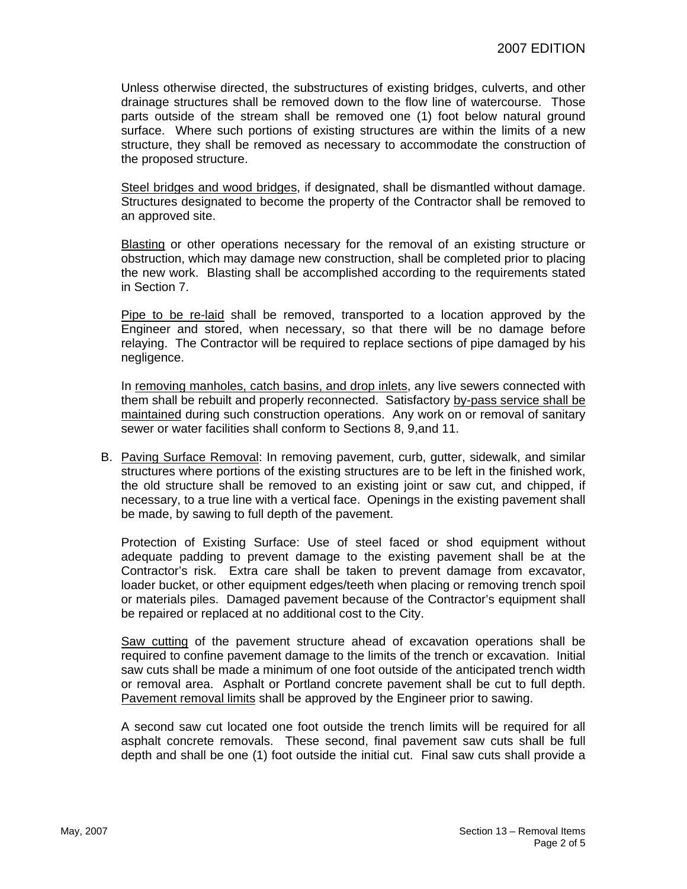Unless otherwise directed, the substructures of existing bridges, culverts, and other drainage structures shall be removed down to the flow line of watercourse. Those parts outside of the stream shall be removed one (1) foot below natural ground surface. Where such portions of existing structures are within the limits of a new structure, they shall be removed as necessary to accommodate the construction of the proposed structure.

Steel bridges and wood bridges, if designated, shall be dismantled without damage. Structures designated to become the property of the Contractor shall be removed to an approved site.

Blasting or other operations necessary for the removal of an existing structure or obstruction, which may damage new construction, shall be completed prior to placing the new work. Blasting shall be accomplished according to the requirements stated in Section 7.

Pipe to be re-laid shall be removed, transported to a location approved by the Engineer and stored, when necessary, so that there will be no damage before relaying. The Contractor will be required to replace sections of pipe damaged by his negligence.

In removing manholes, catch basins, and drop inlets, any live sewers connected with them shall be rebuilt and properly reconnected. Satisfactory by-pass service shall be maintained during such construction operations. Any work on or removal of sanitary sewer or water facilities shall conform to Sections 8, 9,and 11.

B. Paving Surface Removal: In removing pavement, curb, gutter, sidewalk, and similar structures where portions of the existing structures are to be left in the finished work, the old structure shall be removed to an existing joint or saw cut, and chipped, if necessary, to a true line with a vertical face. Openings in the existing pavement shall be made, by sawing to full depth of the pavement.

Protection of Existing Surface: Use of steel faced or shod equipment without adequate padding to prevent damage to the existing pavement shall be at the Contractor's risk. Extra care shall be taken to prevent damage from excavator, loader bucket, or other equipment edges/teeth when placing or removing trench spoil or materials piles. Damaged pavement because of the Contractor's equipment shall be repaired or replaced at no additional cost to the City.

Saw cutting of the pavement structure ahead of excavation operations shall be required to confine pavement damage to the limits of the trench or excavation. Initial saw cuts shall be made a minimum of one foot outside of the anticipated trench width or removal area. Asphalt or Portland concrete pavement shall be cut to full depth. Pavement removal limits shall be approved by the Engineer prior to sawing.

A second saw cut located one foot outside the trench limits will be required for all asphalt concrete removals. These second, final pavement saw cuts shall be full depth and shall be one (1) foot outside the initial cut. Final saw cuts shall provide a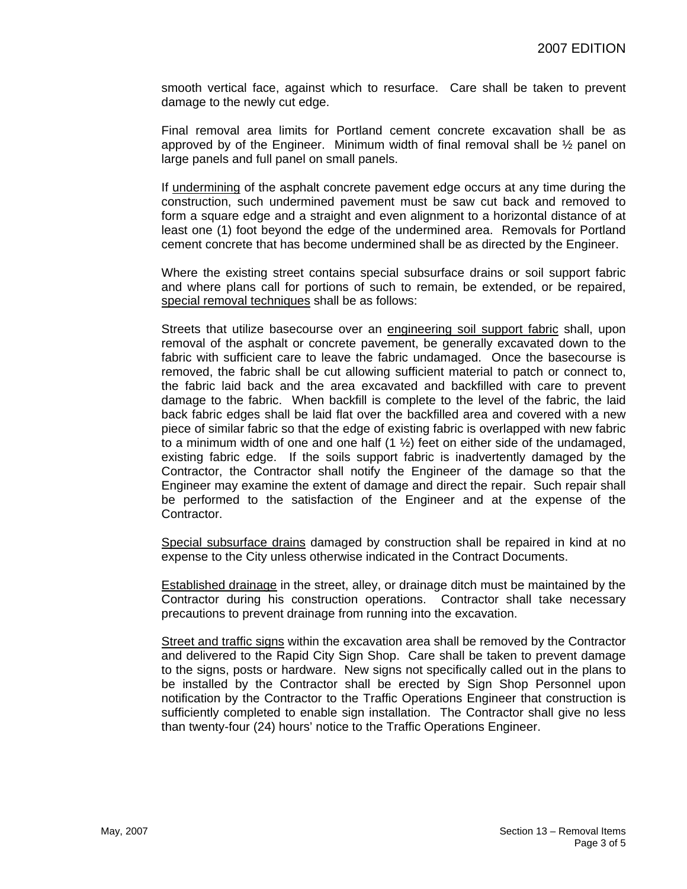smooth vertical face, against which to resurface. Care shall be taken to prevent damage to the newly cut edge.

Final removal area limits for Portland cement concrete excavation shall be as approved by of the Engineer. Minimum width of final removal shall be  $\frac{1}{2}$  panel on large panels and full panel on small panels.

If undermining of the asphalt concrete pavement edge occurs at any time during the construction, such undermined pavement must be saw cut back and removed to form a square edge and a straight and even alignment to a horizontal distance of at least one (1) foot beyond the edge of the undermined area. Removals for Portland cement concrete that has become undermined shall be as directed by the Engineer.

Where the existing street contains special subsurface drains or soil support fabric and where plans call for portions of such to remain, be extended, or be repaired, special removal techniques shall be as follows:

Streets that utilize basecourse over an engineering soil support fabric shall, upon removal of the asphalt or concrete pavement, be generally excavated down to the fabric with sufficient care to leave the fabric undamaged. Once the basecourse is removed, the fabric shall be cut allowing sufficient material to patch or connect to, the fabric laid back and the area excavated and backfilled with care to prevent damage to the fabric. When backfill is complete to the level of the fabric, the laid back fabric edges shall be laid flat over the backfilled area and covered with a new piece of similar fabric so that the edge of existing fabric is overlapped with new fabric to a minimum width of one and one half  $(1 \frac{1}{2})$  feet on either side of the undamaged, existing fabric edge. If the soils support fabric is inadvertently damaged by the Contractor, the Contractor shall notify the Engineer of the damage so that the Engineer may examine the extent of damage and direct the repair. Such repair shall be performed to the satisfaction of the Engineer and at the expense of the Contractor.

Special subsurface drains damaged by construction shall be repaired in kind at no expense to the City unless otherwise indicated in the Contract Documents.

**Established drainage in the street, alley, or drainage ditch must be maintained by the** Contractor during his construction operations. Contractor shall take necessary precautions to prevent drainage from running into the excavation.

Street and traffic signs within the excavation area shall be removed by the Contractor and delivered to the Rapid City Sign Shop. Care shall be taken to prevent damage to the signs, posts or hardware. New signs not specifically called out in the plans to be installed by the Contractor shall be erected by Sign Shop Personnel upon notification by the Contractor to the Traffic Operations Engineer that construction is sufficiently completed to enable sign installation. The Contractor shall give no less than twenty-four (24) hours' notice to the Traffic Operations Engineer.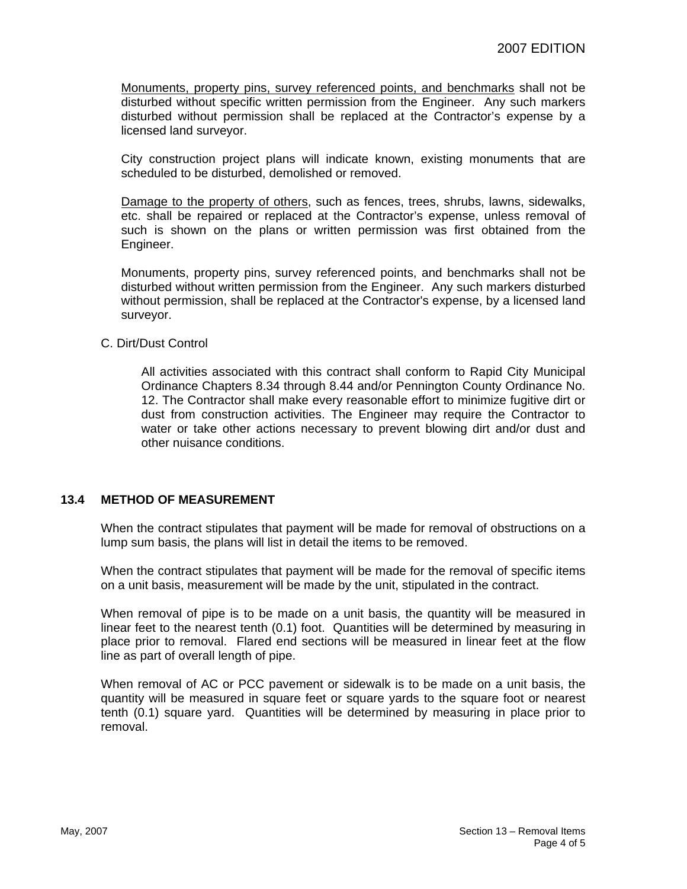Monuments, property pins, survey referenced points, and benchmarks shall not be disturbed without specific written permission from the Engineer. Any such markers disturbed without permission shall be replaced at the Contractor's expense by a licensed land surveyor.

City construction project plans will indicate known, existing monuments that are scheduled to be disturbed, demolished or removed.

Damage to the property of others, such as fences, trees, shrubs, lawns, sidewalks, etc. shall be repaired or replaced at the Contractor's expense, unless removal of such is shown on the plans or written permission was first obtained from the Engineer.

Monuments, property pins, survey referenced points, and benchmarks shall not be disturbed without written permission from the Engineer. Any such markers disturbed without permission, shall be replaced at the Contractor's expense, by a licensed land surveyor.

#### C. Dirt/Dust Control

All activities associated with this contract shall conform to Rapid City Municipal Ordinance Chapters 8.34 through 8.44 and/or Pennington County Ordinance No. 12. The Contractor shall make every reasonable effort to minimize fugitive dirt or dust from construction activities. The Engineer may require the Contractor to water or take other actions necessary to prevent blowing dirt and/or dust and other nuisance conditions.

#### **13.4 METHOD OF MEASUREMENT**

When the contract stipulates that payment will be made for removal of obstructions on a lump sum basis, the plans will list in detail the items to be removed.

When the contract stipulates that payment will be made for the removal of specific items on a unit basis, measurement will be made by the unit, stipulated in the contract.

When removal of pipe is to be made on a unit basis, the quantity will be measured in linear feet to the nearest tenth (0.1) foot. Quantities will be determined by measuring in place prior to removal. Flared end sections will be measured in linear feet at the flow line as part of overall length of pipe.

When removal of AC or PCC pavement or sidewalk is to be made on a unit basis, the quantity will be measured in square feet or square yards to the square foot or nearest tenth (0.1) square yard. Quantities will be determined by measuring in place prior to removal.